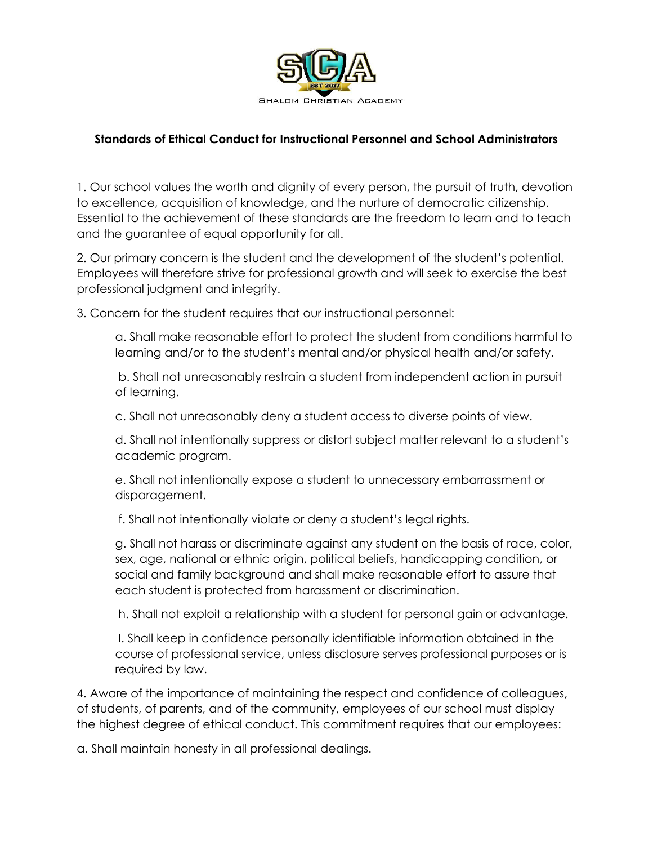

## **Standards of Ethical Conduct for Instructional Personnel and School Administrators**

1. Our school values the worth and dignity of every person, the pursuit of truth, devotion to excellence, acquisition of knowledge, and the nurture of democratic citizenship. Essential to the achievement of these standards are the freedom to learn and to teach and the guarantee of equal opportunity for all.

2. Our primary concern is the student and the development of the student's potential. Employees will therefore strive for professional growth and will seek to exercise the best professional judgment and integrity.

3. Concern for the student requires that our instructional personnel:

a. Shall make reasonable effort to protect the student from conditions harmful to learning and/or to the student's mental and/or physical health and/or safety.

b. Shall not unreasonably restrain a student from independent action in pursuit of learning.

c. Shall not unreasonably deny a student access to diverse points of view.

d. Shall not intentionally suppress or distort subject matter relevant to a student's academic program.

e. Shall not intentionally expose a student to unnecessary embarrassment or disparagement.

f. Shall not intentionally violate or deny a student's legal rights.

g. Shall not harass or discriminate against any student on the basis of race, color, sex, age, national or ethnic origin, political beliefs, handicapping condition, or social and family background and shall make reasonable effort to assure that each student is protected from harassment or discrimination.

h. Shall not exploit a relationship with a student for personal gain or advantage.

I. Shall keep in confidence personally identifiable information obtained in the course of professional service, unless disclosure serves professional purposes or is required by law.

4. Aware of the importance of maintaining the respect and confidence of colleagues, of students, of parents, and of the community, employees of our school must display the highest degree of ethical conduct. This commitment requires that our employees:

a. Shall maintain honesty in all professional dealings.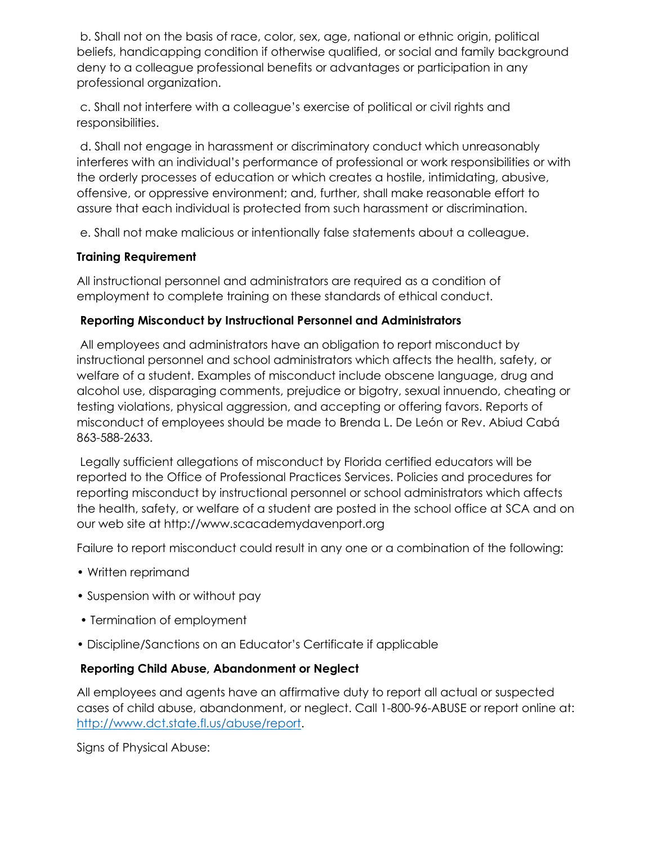b. Shall not on the basis of race, color, sex, age, national or ethnic origin, political beliefs, handicapping condition if otherwise qualified, or social and family background deny to a colleague professional benefits or advantages or participation in any professional organization.

c. Shall not interfere with a colleague's exercise of political or civil rights and responsibilities.

d. Shall not engage in harassment or discriminatory conduct which unreasonably interferes with an individual's performance of professional or work responsibilities or with the orderly processes of education or which creates a hostile, intimidating, abusive, offensive, or oppressive environment; and, further, shall make reasonable effort to assure that each individual is protected from such harassment or discrimination.

e. Shall not make malicious or intentionally false statements about a colleague.

### **Training Requirement**

All instructional personnel and administrators are required as a condition of employment to complete training on these standards of ethical conduct.

### **Reporting Misconduct by Instructional Personnel and Administrators**

All employees and administrators have an obligation to report misconduct by instructional personnel and school administrators which affects the health, safety, or welfare of a student. Examples of misconduct include obscene language, drug and alcohol use, disparaging comments, prejudice or bigotry, sexual innuendo, cheating or testing violations, physical aggression, and accepting or offering favors. Reports of misconduct of employees should be made to Brenda L. De León or Rev. Abiud Cabá 863-588-2633.

Legally sufficient allegations of misconduct by Florida certified educators will be reported to the Office of Professional Practices Services. Policies and procedures for reporting misconduct by instructional personnel or school administrators which affects the health, safety, or welfare of a student are posted in the school office at SCA and on our web site at http://www.scacademydavenport.org

Failure to report misconduct could result in any one or a combination of the following:

- Written reprimand
- Suspension with or without pay
- Termination of employment
- Discipline/Sanctions on an Educator's Certificate if applicable

# **Reporting Child Abuse, Abandonment or Neglect**

All employees and agents have an affirmative duty to report all actual or suspected cases of child abuse, abandonment, or neglect. Call 1-800-96-ABUSE or report online at: [http://www.dct.state.fl.us/abuse/report.](http://www.dct.state.fl.us/abuse/report)

Signs of Physical Abuse: